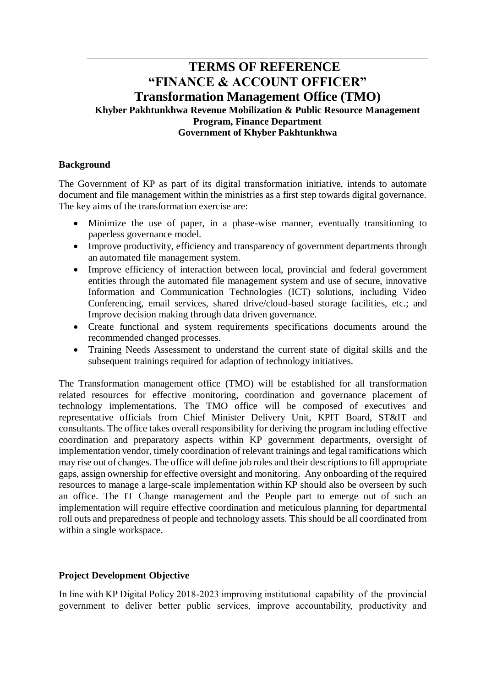# **TERMS OF REFERENCE "FINANCE & ACCOUNT OFFICER" Transformation Management Office (TMO) Khyber Pakhtunkhwa Revenue Mobilization & Public Resource Management Program, Finance Department Government of Khyber Pakhtunkhwa**

### **Background**

The Government of KP as part of its digital transformation initiative, intends to automate document and file management within the ministries as a first step towards digital governance. The key aims of the transformation exercise are:

- Minimize the use of paper, in a phase-wise manner, eventually transitioning to paperless governance model.
- Improve productivity, efficiency and transparency of government departments through an automated file management system.
- Improve efficiency of interaction between local, provincial and federal government entities through the automated file management system and use of secure, innovative Information and Communication Technologies (ICT) solutions, including Video Conferencing, email services, shared drive/cloud-based storage facilities, etc.; and Improve decision making through data driven governance.
- Create functional and system requirements specifications documents around the recommended changed processes.
- Training Needs Assessment to understand the current state of digital skills and the subsequent trainings required for adaption of technology initiatives.

The Transformation management office (TMO) will be established for all transformation related resources for effective monitoring, coordination and governance placement of technology implementations. The TMO office will be composed of executives and representative officials from Chief Minister Delivery Unit, KPIT Board, ST&IT and consultants. The office takes overall responsibility for deriving the program including effective coordination and preparatory aspects within KP government departments, oversight of implementation vendor, timely coordination of relevant trainings and legal ramifications which may rise out of changes. The office will define job roles and their descriptions to fill appropriate gaps, assign ownership for effective oversight and monitoring. Any onboarding of the required resources to manage a large-scale implementation within KP should also be overseen by such an office. The IT Change management and the People part to emerge out of such an implementation will require effective coordination and meticulous planning for departmental roll outs and preparedness of people and technology assets. This should be all coordinated from within a single workspace.

#### **Project Development Objective**

In line with KP Digital Policy 2018-2023 improving institutional capability of the provincial government to deliver better public services, improve accountability, productivity and